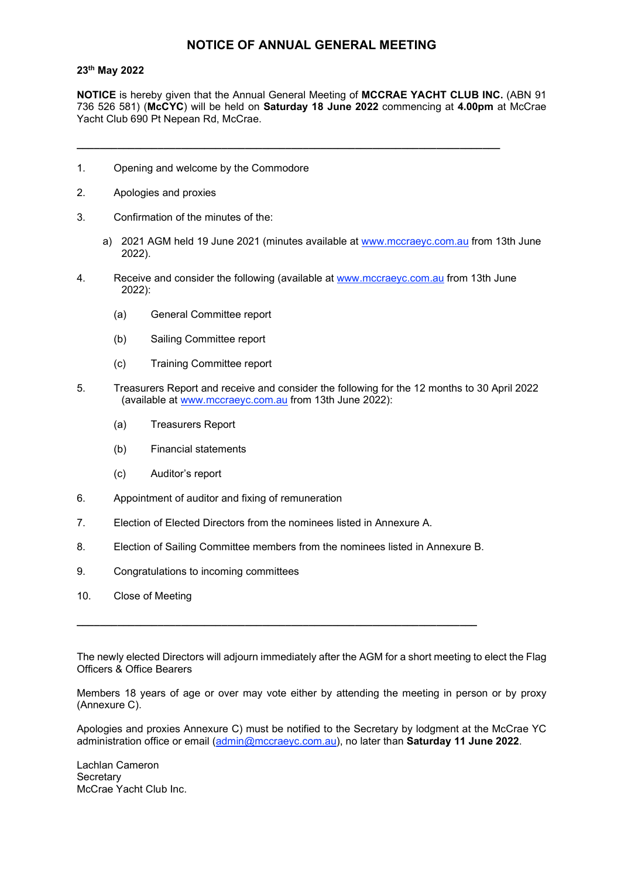#### NOTICE OF ANNUAL GENERAL MEETING

#### 23th May 2022

NOTICE is hereby given that the Annual General Meeting of MCCRAE YACHT CLUB INC. (ABN 91 736 526 581) (McCYC) will be held on Saturday 18 June 2022 commencing at 4.00pm at McCrae Yacht Club 690 Pt Nepean Rd, McCrae.

\_\_\_\_\_\_\_\_\_\_\_\_\_\_\_\_\_\_\_\_\_\_\_\_\_\_\_\_\_\_\_\_\_\_\_\_\_\_\_\_\_\_\_\_\_\_\_\_\_\_\_\_\_\_\_\_\_\_\_\_\_\_\_\_\_\_\_\_\_\_\_\_\_

- 1. Opening and welcome by the Commodore
- 2. Apologies and proxies
- 3. Confirmation of the minutes of the:
	- a) 2021 AGM held 19 June 2021 (minutes available at www.mccraeyc.com.au from 13th June 2022).
- 4. Receive and consider the following (available at www.mccraeyc.com.au from 13th June 2022):
	- (a) General Committee report
	- (b) Sailing Committee report
	- (c) Training Committee report
- 5. Treasurers Report and receive and consider the following for the 12 months to 30 April 2022 (available at www.mccraeyc.com.au from 13th June 2022):
	- (a) Treasurers Report
	- (b) Financial statements
	- (c) Auditor's report
- 6. Appointment of auditor and fixing of remuneration
- 7. Election of Elected Directors from the nominees listed in Annexure A.
- 8. Election of Sailing Committee members from the nominees listed in Annexure B.

\_\_\_\_\_\_\_\_\_\_\_\_\_\_\_\_\_\_\_\_\_\_\_\_\_\_\_\_\_\_\_\_\_\_\_\_\_\_\_\_\_\_\_\_\_\_\_\_\_\_\_\_\_\_\_\_\_\_\_\_\_\_\_\_\_\_\_\_\_

- 9. Congratulations to incoming committees
- 10. Close of Meeting

The newly elected Directors will adjourn immediately after the AGM for a short meeting to elect the Flag Officers & Office Bearers

Members 18 years of age or over may vote either by attending the meeting in person or by proxy (Annexure C).

Apologies and proxies Annexure C) must be notified to the Secretary by lodgment at the McCrae YC administration office or email (admin@mccraeyc.com.au), no later than Saturday 11 June 2022.

Lachlan Cameron **Secretary** McCrae Yacht Club Inc.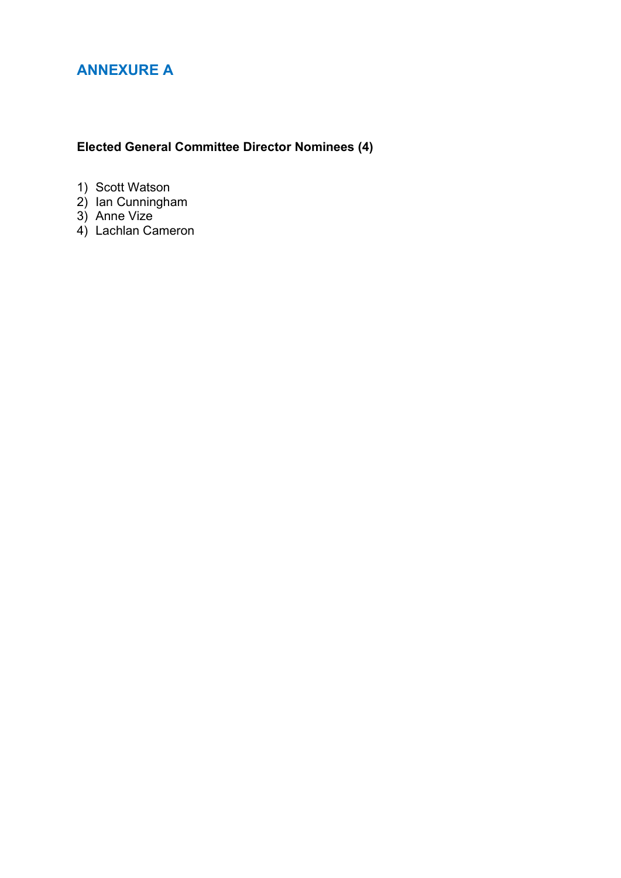# ANNEXURE A

# Elected General Committee Director Nominees (4)

- 1) Scott Watson
- 2) Ian Cunningham
- 3) Anne Vize
- 4) Lachlan Cameron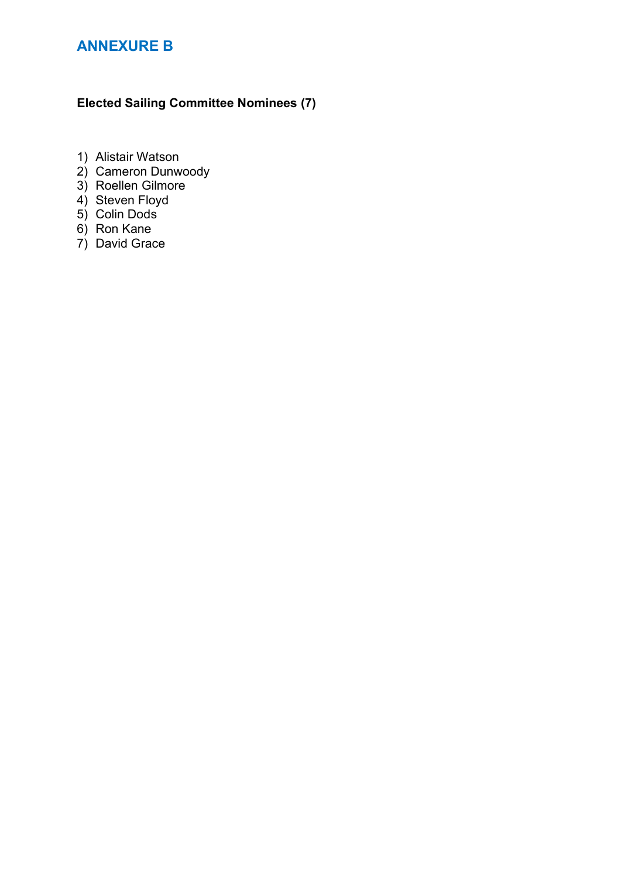# ANNEXURE B

### Elected Sailing Committee Nominees (7)

- 1) Alistair Watson
- 2) Cameron Dunwoody
- 3) Roellen Gilmore
- 4) Steven Floyd
- 5) Colin Dods
- 6) Ron Kane
- 7) David Grace